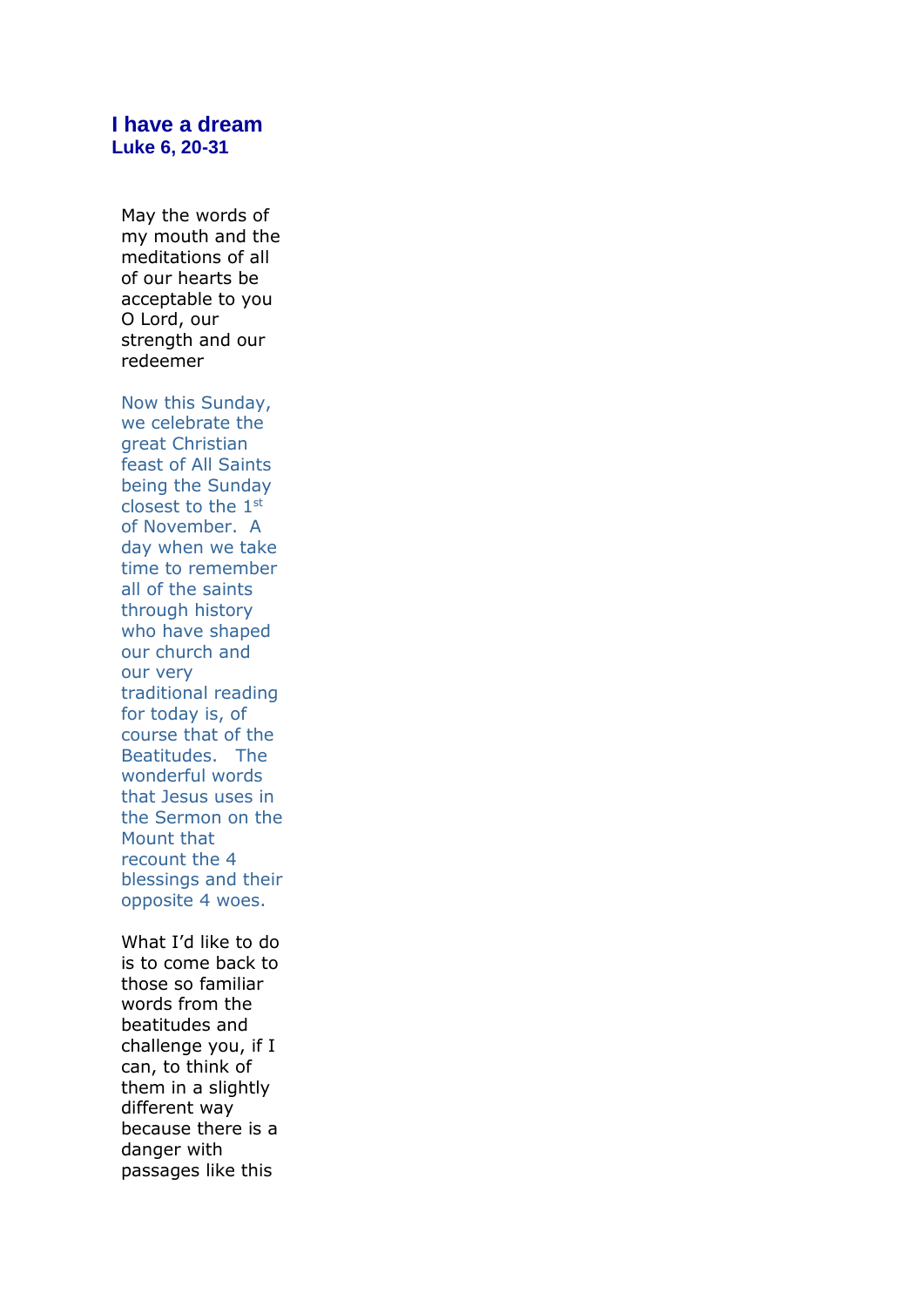## **I have a dream Luke 6, 20-31**

May the words of my mouth and the meditations of all of our hearts be acceptable to you O Lord, our strength and our redeemer

Now this Sunday, we celebrate the great Christian feast of All Saints being the Sunday closest to the 1st of November. A day when we take time to remember all of the saints through history who have shaped our church and our very traditional reading for today is, of course that of the Beatitudes. The wonderful words that Jesus uses in the Sermon on the Mount that recount the 4 blessings and their opposite 4 woes.

What I'd like to do is to come back to those so familiar words from the beatitudes and challenge you, if I can, to think of them in a slightly different way because there is a danger with passages like this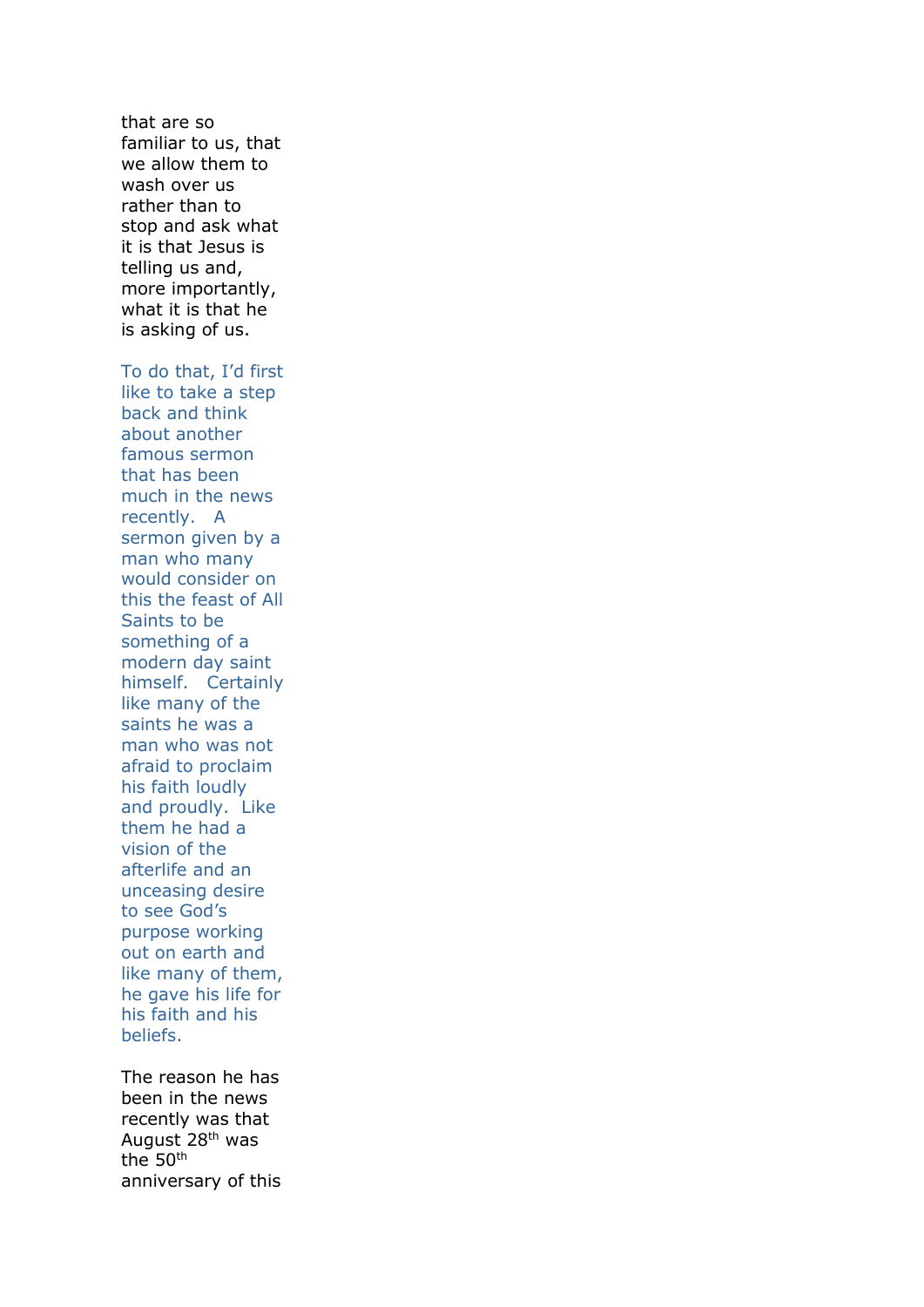that are so familiar to us, that we allow them to wash over us rather than to stop and ask what it is that Jesus is telling us and, more importantly, what it is that he is asking of us.

To do that, I'd first like to take a step back and think about another famous sermon that has been much in the news recently. A sermon given by a man who many would consider on this the feast of All Saints to be something of a modern day saint himself. Certainly like many of the saints he was a man who was not afraid to proclaim his faith loudly and proudly. Like them he had a vision of the afterlife and an unceasing desire to see God's purpose working out on earth and like many of them, he gave his life for his faith and his beliefs.

The reason he has been in the news recently was that August 28th was the 50th anniversary of this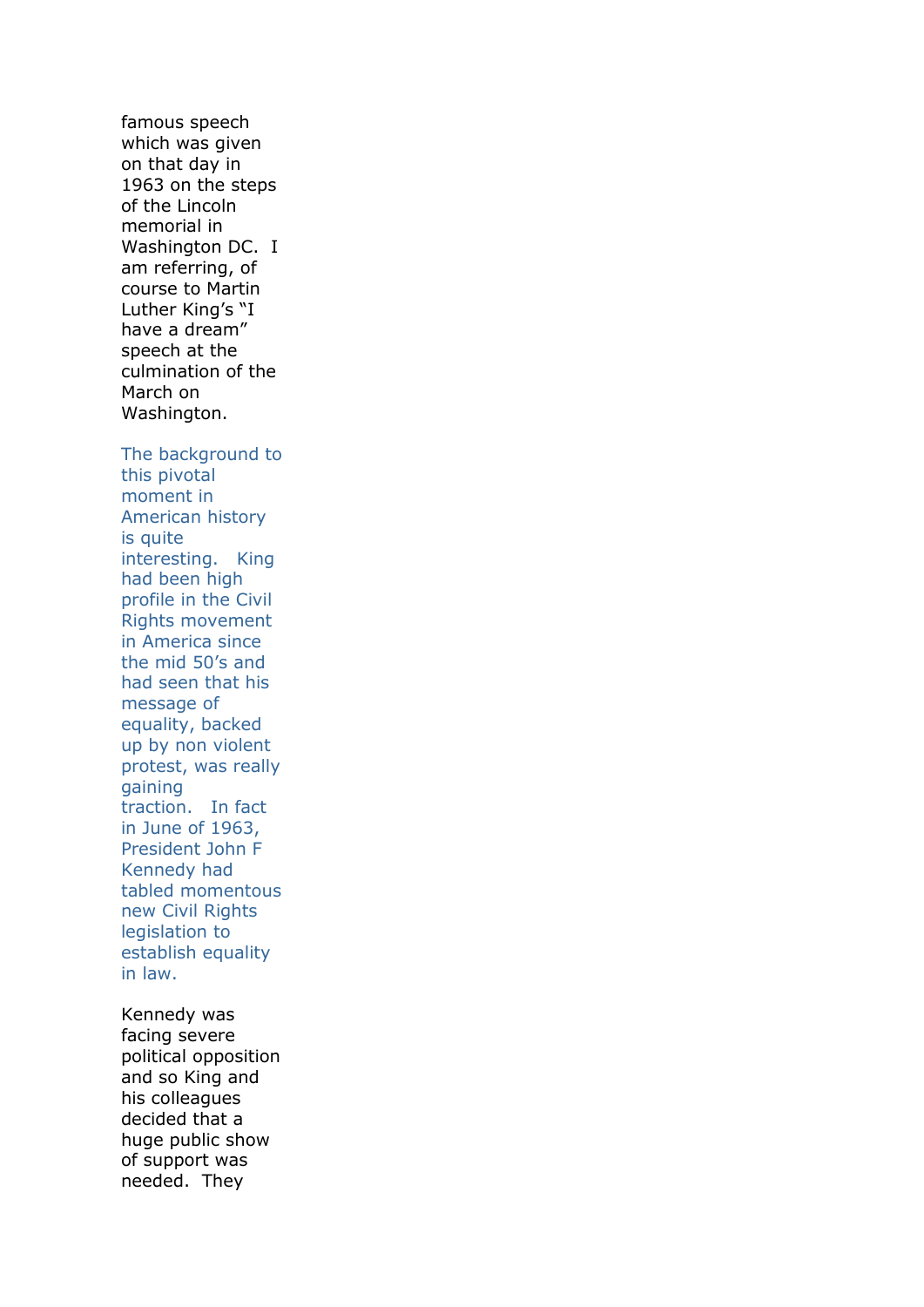famous speech which was given on that day in 1963 on the steps of the Lincoln memorial in Washington DC. I am referring, of course to Martin Luther King's "I have a dream" speech at the culmination of the March on Washington.

The background to this pivotal moment in American history is quite interesting. King had been high profile in the Civil Rights movement in America since the mid 50's and had seen that his message of equality, backed up by non violent protest, was really gaining traction. In fact in June of 1963, President John F Kennedy had tabled momentous new Civil Rights legislation to establish equality in law.

Kennedy was facing severe political opposition and so King and his colleagues decided that a huge public show of support was needed. They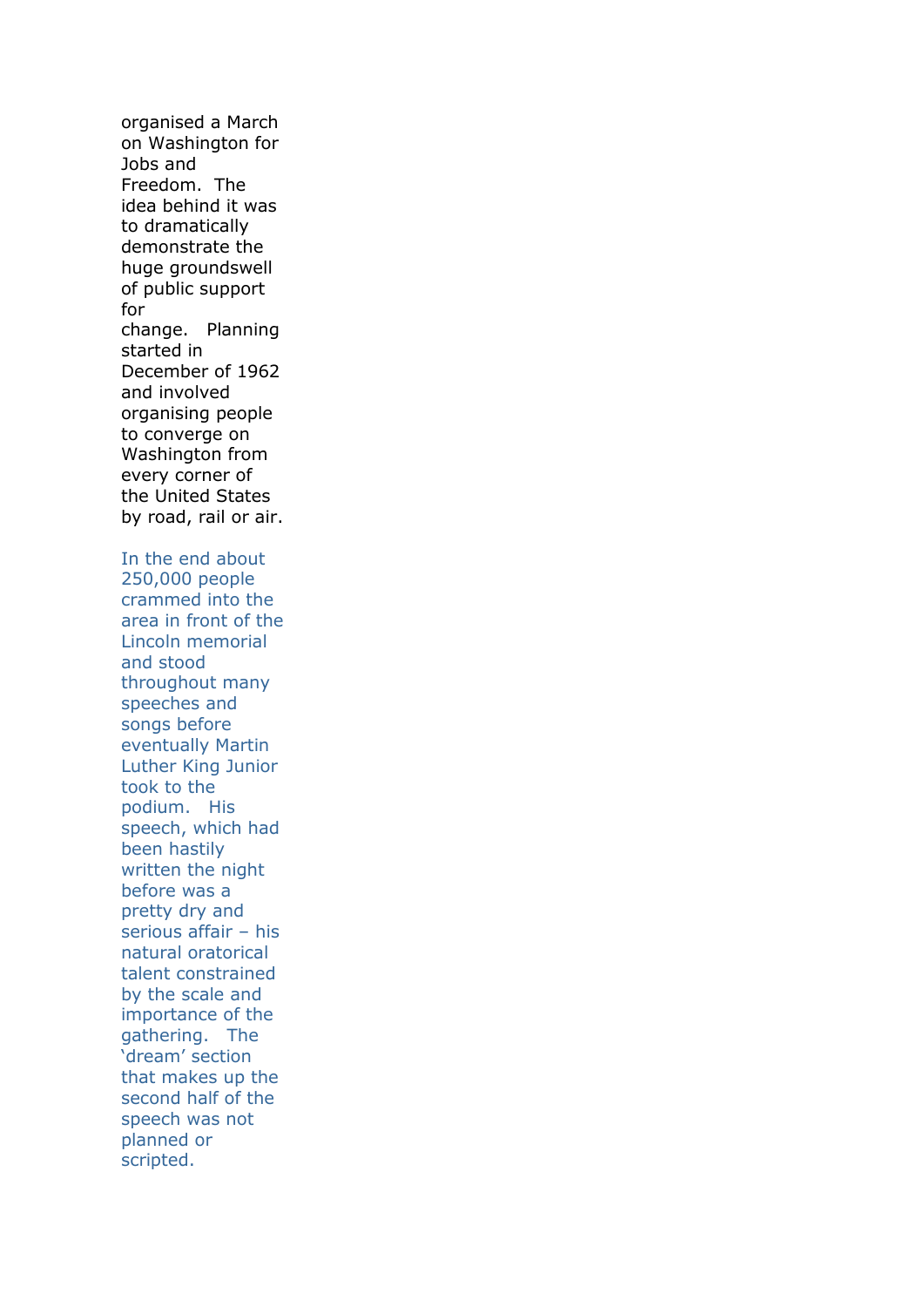organised a March on Washington for Jobs and Freedom. The idea behind it was to dramatically demonstrate the huge groundswell of public support for change. Planning started in December of 1962 and involved organising people to converge on Washington from every corner of the United States by road, rail or air. In the end about 250,000 people crammed into the area in front of the Lincoln memorial and stood throughout many speeches and songs before eventually Martin Luther King Junior took to the podium. His speech, which had been hastily written the night before was a pretty dry and serious affair – his natural oratorical talent constrained by the scale and importance of the gathering. The 'dream' section that makes up the second half of the speech was not planned or scripted.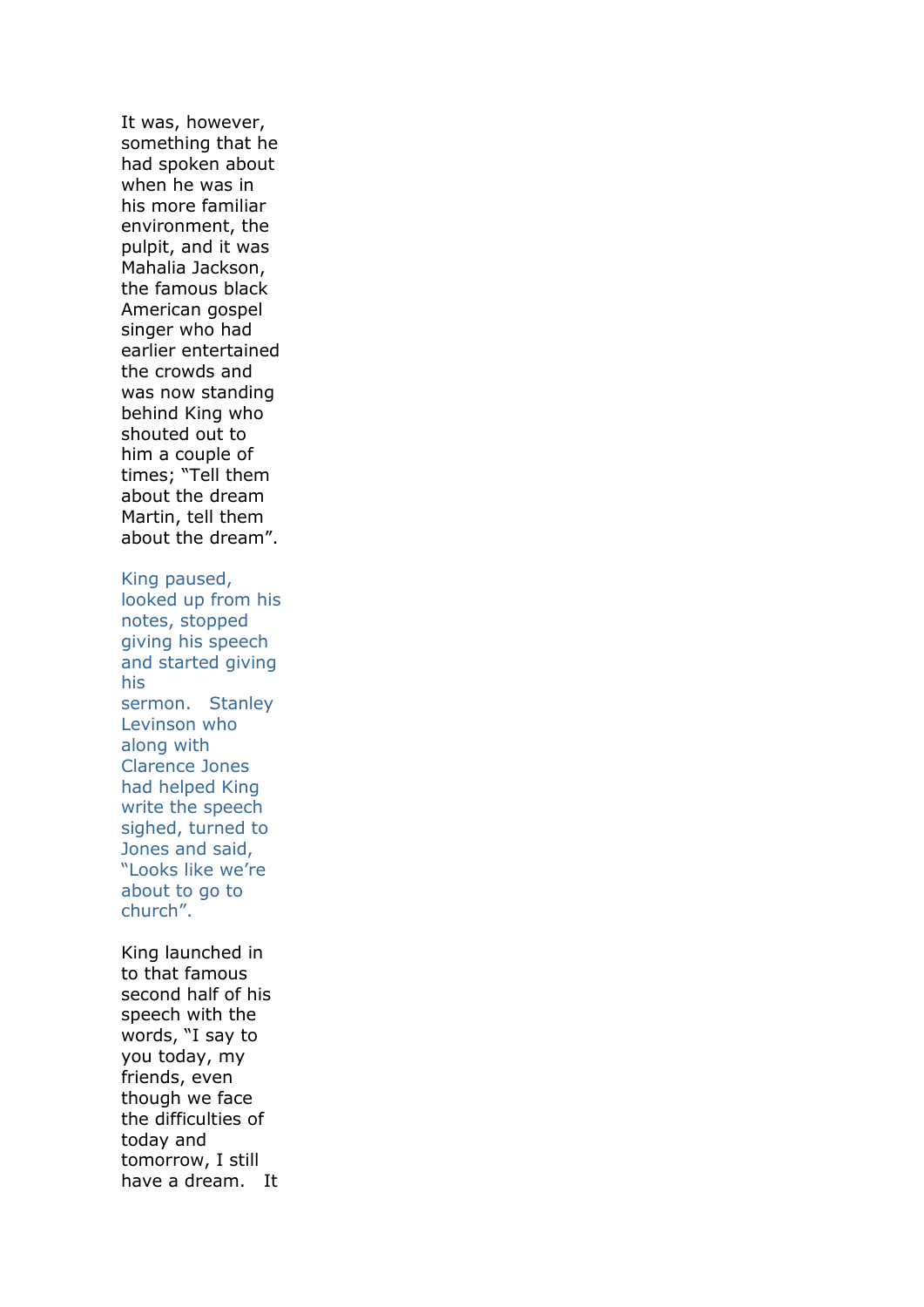It was, however, something that he had spoken about when he was in his more familiar environment, the pulpit, and it was Mahalia Jackson, the famous black American gospel singer who had earlier entertained the crowds and was now standing behind King who shouted out to him a couple of times; "Tell them about the dream Martin, tell them about the dream". King paused, looked up from his notes, stopped giving his speech and started giving his sermon. Stanley Levinson who along with Clarence Jones had helped King write the speech sighed, turned to Jones and said, "Looks like we're about to go to church". King launched in to that famous second half of his speech with the words, "I say to

you today, my friends, even though we face the difficulties of today and tomorrow, I still have a dream. It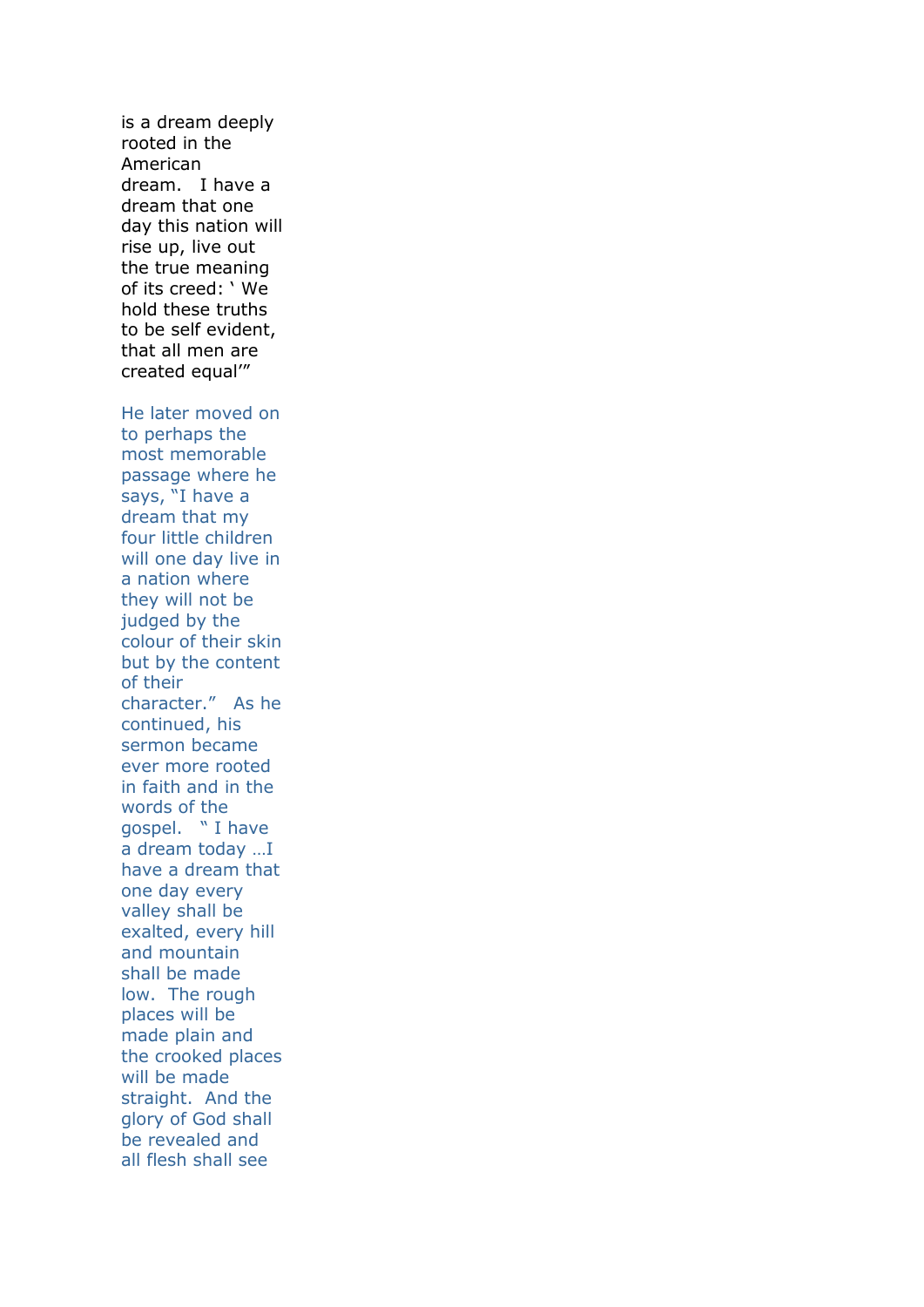is a dream deeply rooted in the American dream. I have a dream that one day this nation will rise up, live out the true meaning of its creed: ' We hold these truths to be self evident, that all men are created equal'" He later moved on to perhaps the most memorable passage where he says, "I have a dream that my four little children will one day live in a nation where they will not be judged by the colour of their skin but by the content of their character." As he continued, his sermon became ever more rooted in faith and in the words of the gospel. " I have a dream today …I have a dream that one day every valley shall be exalted, every hill and mountain shall be made low. The rough places will be made plain and the crooked places will be made straight. And the glory of God shall be revealed and all flesh shall see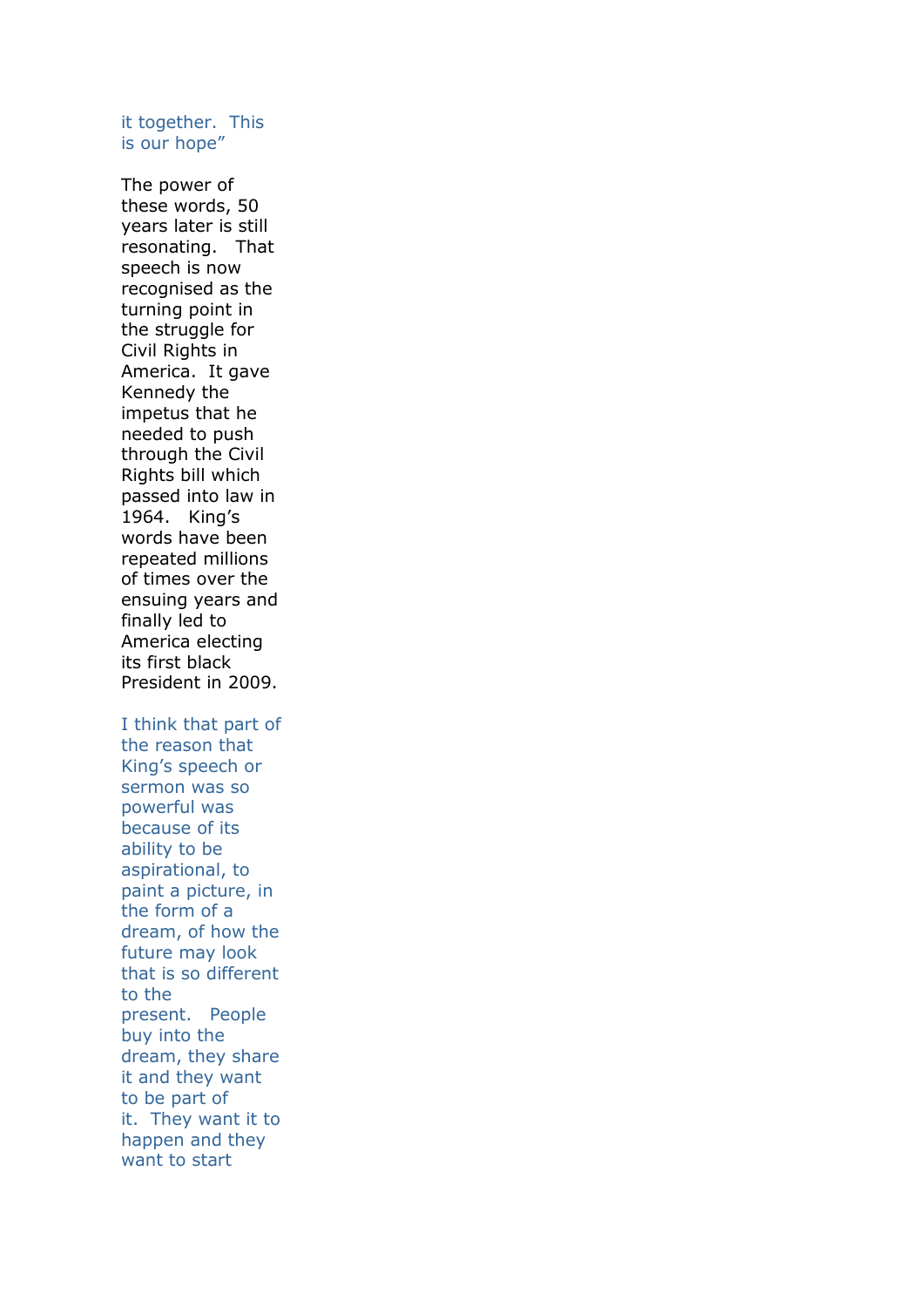## it together. This is our hope"

The power of these words, 50 years later is still resonating. That speech is now recognised as the turning point in the struggle for Civil Rights in America. It gave Kennedy the impetus that he needed to push through the Civil Rights bill which passed into law in 1964. King's words have been repeated millions of times over the ensuing years and finally led to America electing its first black President in 2009.

I think that part of the reason that King's speech or sermon was so powerful was because of its ability to be aspirational, to paint a picture, in the form of a dream, of how the future may look that is so different to the present. People buy into the dream, they share it and they want to be part of it. They want it to happen and they want to start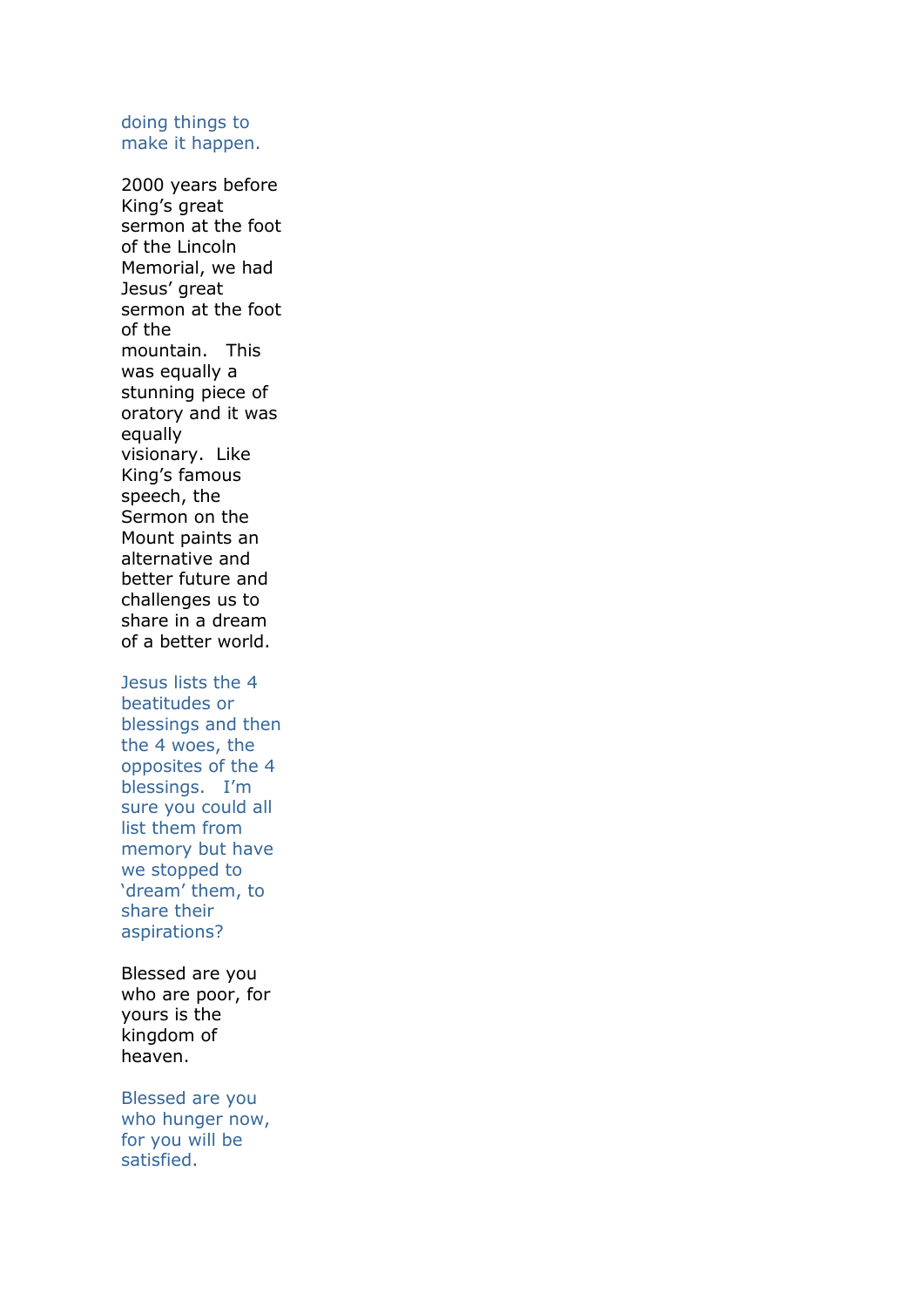## doing things to make it happen.

2000 years before King's great sermon at the foot of the Lincoln Memorial, we had Jesus' great sermon at the foot of the mountain. This was equally a stunning piece of oratory and it was equally visionary. Like King's famous speech, the Sermon on the Mount paints an alternative and better future and challenges us to share in a dream of a better world.

Jesus lists the 4 beatitudes or blessings and then the 4 woes, the opposites of the 4 blessings. I'm sure you could all list them from memory but have we stopped to 'dream' them, to share their aspirations?

Blessed are you who are poor, for yours is the kingdom of heaven.

Blessed are you who hunger now, for you will be satisfied.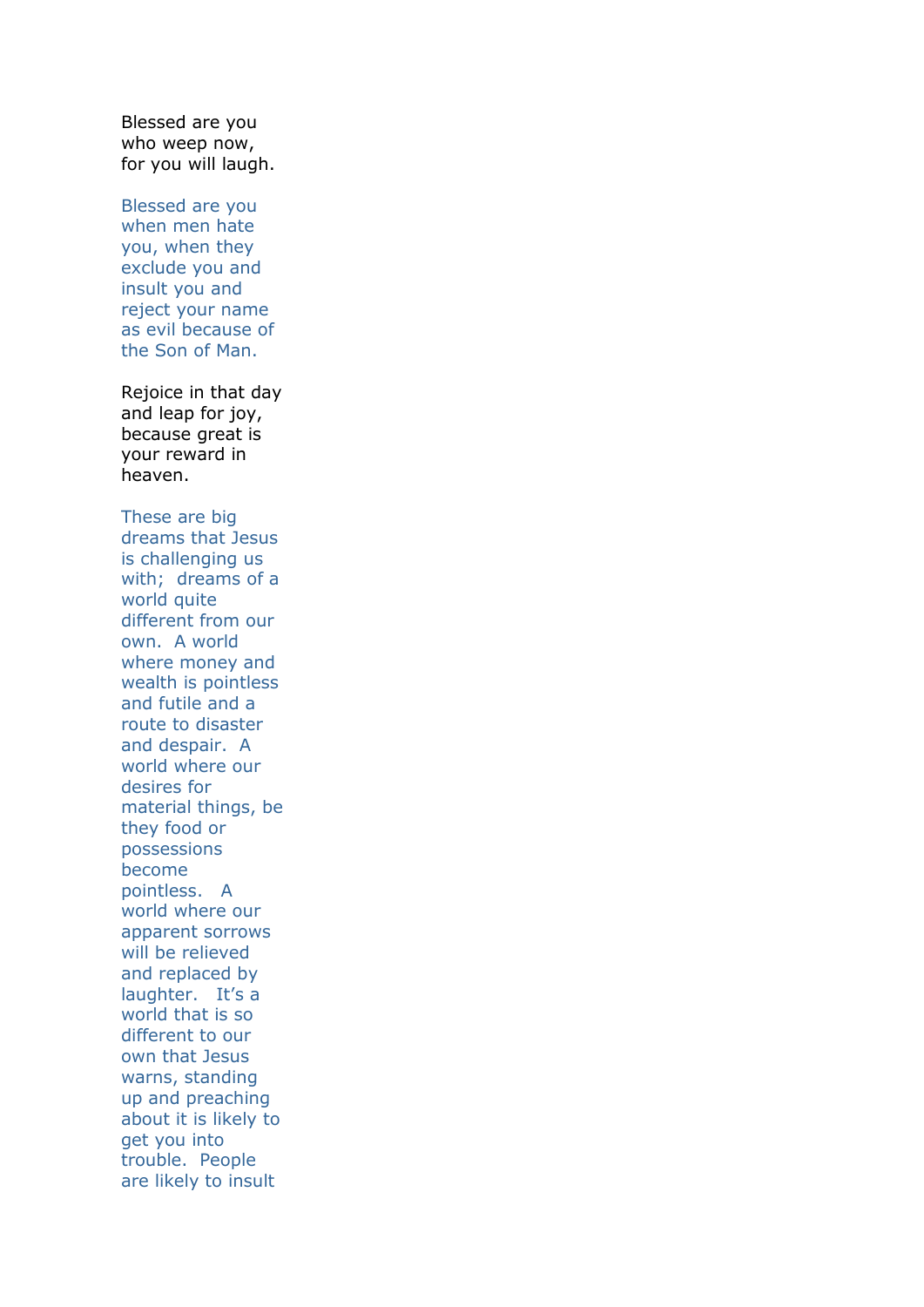Blessed are you who weep now, for you will laugh.

Blessed are you when men hate you, when they exclude you and insult you and reject your name as evil because of the Son of Man.

Rejoice in that day and leap for joy, because great is your reward in heaven.

These are big dreams that Jesus is challenging us with; dreams of a world quite different from our own. A world where money and wealth is pointless and futile and a route to disaster and despair. A world where our desires for material things, be they food or possessions become pointless. A world where our apparent sorrows will be relieved and replaced by laughter. It's a world that is so different to our own that Jesus warns, standing up and preaching about it is likely to get you into trouble. People are likely to insult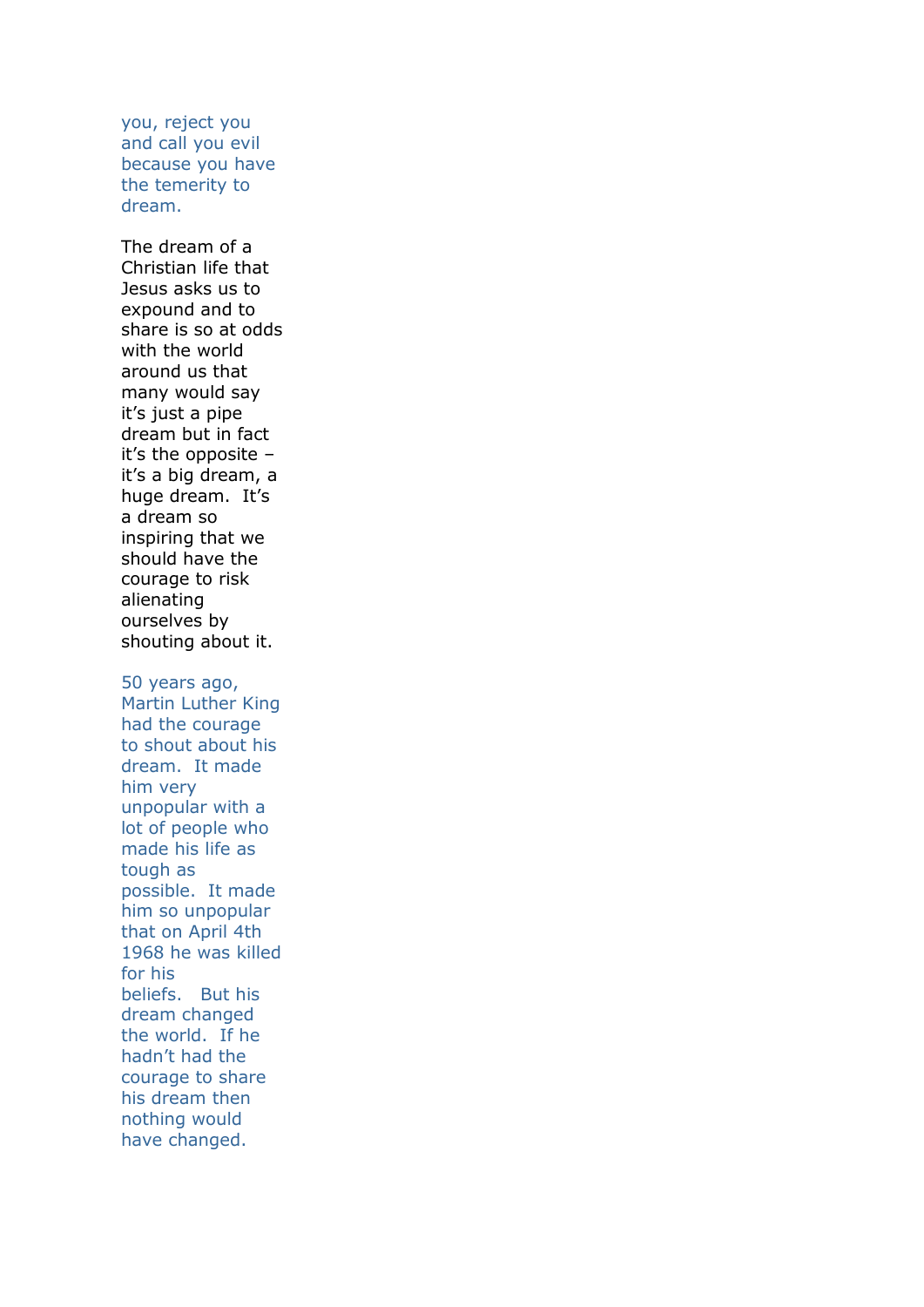you, reject you and call you evil because you have the temerity to dream.

The dream of a Christian life that Jesus asks us to expound and to share is so at odds with the world around us that many would say it's just a pipe dream but in fact it's the opposite – it's a big dream, a huge dream. It's a dream so inspiring that we should have the courage to risk alienating ourselves by shouting about it.

50 years ago, Martin Luther King had the courage to shout about his dream. It made him very unpopular with a lot of people who made his life as tough as possible. It made him so unpopular that on April 4th 1968 he was killed for his beliefs. But his dream changed the world. If he hadn't had the courage to share his dream then nothing would have changed.